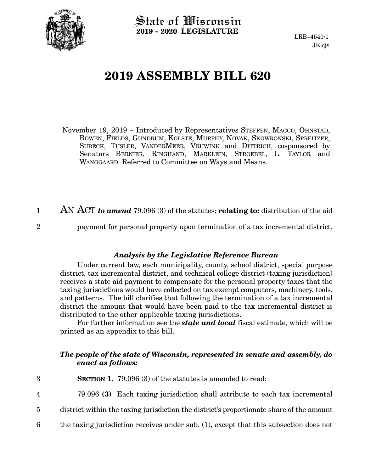

State of Wisconsin **2019 - 2020 LEGISLATURE**

LRB-4540/1 JK:cjs

## **2019 ASSEMBLY BILL 620**

November 19, 2019 - Introduced by Representatives STEFFEN, MACCO, OHNSTAD, BOWEN, FIELDS, GUNDRUM, KOLSTE, MURPHY, NOVAK, SKOWRONSKI, SPREITZER, SUBECK, TUSLER, VANDERMEER, VRUWINK and DITTRICH, cosponsored by Senators BERNIER, RINGHAND, MARKLEIN, STROEBEL, L. TAYLOR and WANGGAARD. Referred to Committee on Ways and Means.

AN ACT *to amend* 79.096 (3) of the statutes; **relating to:** distribution of the aid 1

2

payment for personal property upon termination of a tax incremental district.

## *Analysis by the Legislative Reference Bureau*

Under current law, each municipality, county, school district, special purpose district, tax incremental district, and technical college district (taxing jurisdiction) receives a state aid payment to compensate for the personal property taxes that the taxing jurisdictions would have collected on tax exempt computers, machinery, tools, and patterns. The bill clarifies that following the termination of a tax incremental district the amount that would have been paid to the tax incremental district is distributed to the other applicable taxing jurisdictions.

For further information see the *state and local* fiscal estimate, which will be printed as an appendix to this bill.

## *The people of the state of Wisconsin, represented in senate and assembly, do enact as follows:*

| 3 | <b>SECTION 1.</b> 79.096 (3) of the statutes is amended to read:                         |
|---|------------------------------------------------------------------------------------------|
| 4 | 79.096 (3) Each taxing jurisdiction shall attribute to each tax incremental              |
| 5 | district within the taxing jurisdiction the district's proportionate share of the amount |
| 6 | the taxing jurisdiction receives under sub. $(1)$ , except that this subsection does not |